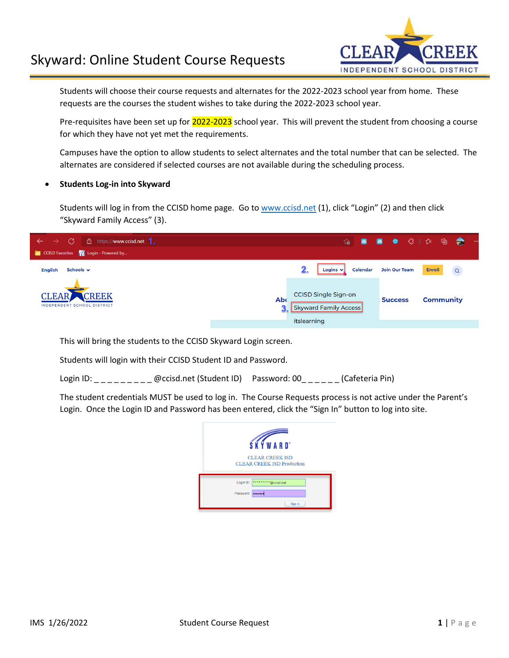## Skyward: Online Student Course Requests



Students will choose their course requests and alternates for the 2022-2023 school year from home. These requests are the courses the student wishes to take during the 2022-2023 school year.

Pre-requisites have been set up for 2022-2023 school year. This will prevent the student from choosing a course for which they have not yet met the requirements.

Campuses have the option to allow students to select alternates and the total number that can be selected. The alternates are considered if selected courses are not available during the scheduling process.

## • **Students Log-in into Skyward**

Students will log in from the CCISD home page. Go to [www.ccisd.net](http://www.ccisd.net/) (1), click "Login" (2) and then click "Skyward Family Access" (3).

| C<br>□ https://www.ccisd.net 1.<br>$\rightarrow$<br>$\rightarrow$ |                                                                                                         |
|-------------------------------------------------------------------|---------------------------------------------------------------------------------------------------------|
| CCISD Favorites <b>The Login - Powered by</b>                     |                                                                                                         |
| Schools $\vee$<br><b>English</b>                                  | Logins $\mathbf{v}$<br><b>Join Our Team</b><br><b>Enroll</b><br><b>Calendar</b><br>$\alpha$             |
| CLEAR CREEK<br><b>INDEPENDENT SCHOOL DISTRICT</b>                 | CCISD Single Sign-on<br><b>Ab</b><br><b>Community</b><br><b>Success</b><br><b>Skyward Family Access</b> |
|                                                                   | itslearning                                                                                             |

This will bring the students to the CCISD Skyward Login screen.

Students will login with their CCISD Student ID and Password.

Login ID: \_\_\_\_\_\_\_\_\_ @ccisd.net (Student ID) Password: 00\_\_\_\_\_\_ (Cafeteria Pin)

The student credentials MUST be used to log in. The Course Requests process is not active under the Parent's Login. Once the Login ID and Password has been entered, click the "Sign In" button to log into site.

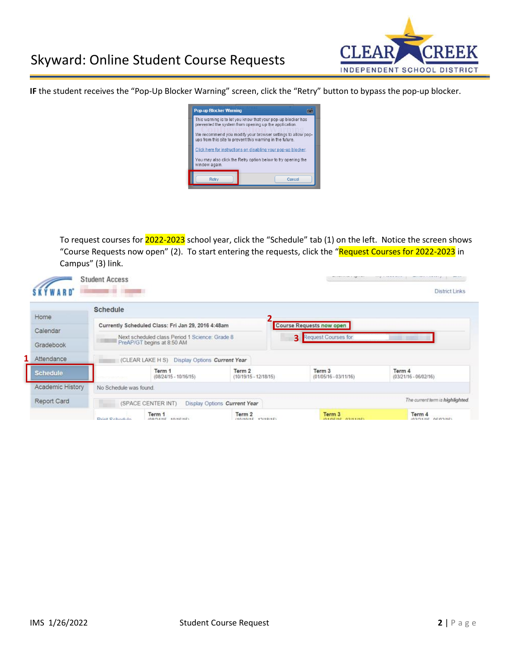

**IF** the student receives the "Pop-Up Blocker Warning" screen, click the "Retry" button to bypass the pop-up blocker.



To request courses for 2022-2023 school year, click the "Schedule" tab (1) on the left. Notice the screen shows "Course Requests now open" (2). To start entering the requests, click the "Request Courses for 2022-2023 in Campus" (3) link.

| Home                                       | <b>Schedule</b>        |                                                    |                                   |                                     |                                   |
|--------------------------------------------|------------------------|----------------------------------------------------|-----------------------------------|-------------------------------------|-----------------------------------|
|                                            |                        | Currently Scheduled Class: Fri Jan 29, 2016 4:48am |                                   | <b>Course Requests now open</b>     |                                   |
| Calendar                                   |                        |                                                    |                                   |                                     |                                   |
|                                            |                        | Next scheduled class Period 1 Science: Grade 8     |                                   | Request Courses for<br>$\mathbf{R}$ |                                   |
|                                            |                        | PreAP/GT begins at 8:50 AM                         |                                   |                                     |                                   |
| Gradebook<br>Attendance                    |                        | (CLEAR LAKE H S) Display Options Current Year      |                                   |                                     |                                   |
|                                            |                        | Term 1<br>$(08/24/15 - 10/16/15)$                  | Term 2<br>$(10/19/15 - 12/18/15)$ | Term 3<br>$(01/05/16 - 03/11/16)$   | Term 4<br>$(03/21/16 - 06/02/16)$ |
| <b>Schedule</b><br><b>Academic History</b> | No Schedule was found. |                                                    |                                   |                                     |                                   |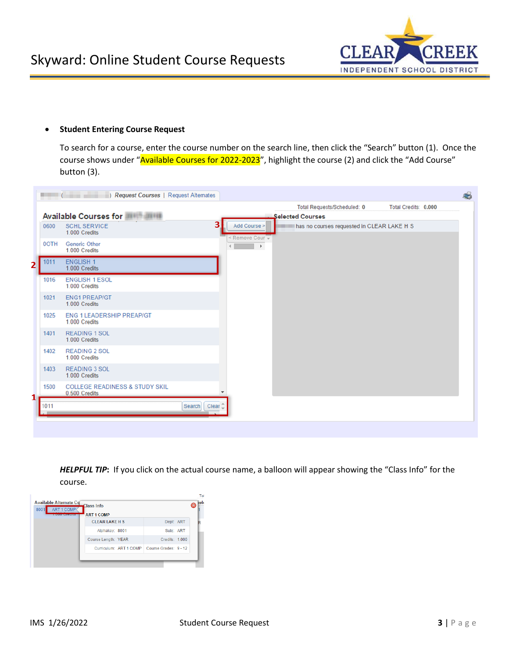

## • **Student Entering Course Request**

To search for a course, enter the course number on the search line, then click the "Search" button (1). Once the course shows under "Available Courses for 2022-2023", highlight the course (2) and click the "Add Course" button (3).

|   |      | Request Courses   Request Alternates                       |                              |                                 |                                            |                      |  |
|---|------|------------------------------------------------------------|------------------------------|---------------------------------|--------------------------------------------|----------------------|--|
|   |      |                                                            |                              |                                 | Total Requests/Scheduled: 0                | Total Credits: 0.000 |  |
|   |      | Available Courses for <b>Allegan Available</b>             |                              |                                 | <b>Selected Courses</b>                    |                      |  |
|   | 0600 | <b>SCHL SERVICE</b><br>1.000 Credits                       | 3                            | Add Course ><br>< Remove Cour - | has no courses requested in CLEAR LAKE H S |                      |  |
|   | 0OTH | <b>Generic Other</b><br>1.000 Credits                      |                              | $\blacktriangleright$           |                                            |                      |  |
| 2 | 1011 | <b>ENGLISH 1</b><br>1.000 Credits                          |                              |                                 |                                            |                      |  |
|   | 1016 | <b>ENGLISH 1 ESOL</b><br>1.000 Credits                     |                              |                                 |                                            |                      |  |
|   | 1021 | <b>ENG1 PREAP/GT</b><br>1.000 Credits                      |                              |                                 |                                            |                      |  |
|   | 1025 | <b>ENG 1 LEADERSHIP PREAP/GT</b><br>1.000 Credits          |                              |                                 |                                            |                      |  |
|   | 1401 | <b>READING 1 SOL</b><br>1.000 Credits                      |                              |                                 |                                            |                      |  |
|   | 1402 | <b>READING 2 SOL</b><br>1.000 Credits                      |                              |                                 |                                            |                      |  |
|   | 1403 | <b>READING 3 SOL</b><br>1.000 Credits                      |                              |                                 |                                            |                      |  |
|   | 1500 | <b>COLLEGE READINESS &amp; STUDY SKIL</b><br>0.500 Credits |                              |                                 |                                            |                      |  |
| 1 | 1011 |                                                            | Clear <sup>1</sup><br>Search |                                 |                                            |                      |  |
|   |      |                                                            |                              |                                 |                                            |                      |  |

*HELPFUL TIP***:** If you click on the actual course name, a balloon will appear showing the "Class Info" for the course.

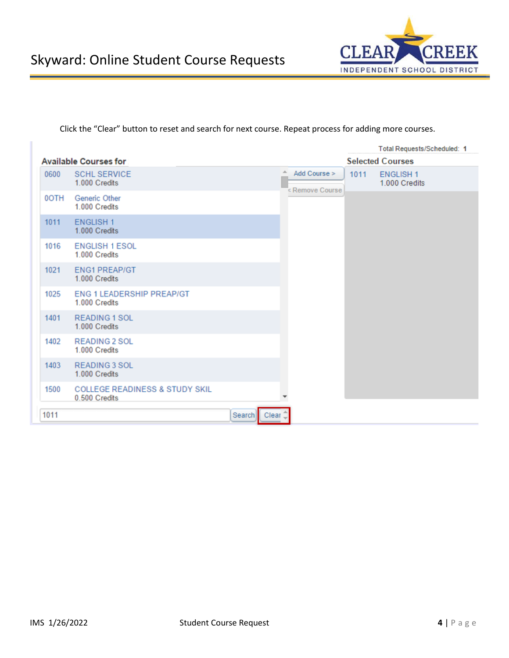

Click the "Clear" button to reset and search for next course. Repeat process for adding more courses.

|      |                                                            |                                         |                                        |      | Total Requests/Scheduled: 1      |
|------|------------------------------------------------------------|-----------------------------------------|----------------------------------------|------|----------------------------------|
|      | <b>Available Courses for</b>                               |                                         |                                        |      | <b>Selected Courses</b>          |
| 0600 | <b>SCHL SERVICE</b><br>1.000 Credits                       |                                         | ∸<br>Add Course $>$<br>< Remove Course | 1011 | <b>ENGLISH1</b><br>1.000 Credits |
| 0OTH | Generic Other<br>1.000 Credits                             |                                         |                                        |      |                                  |
| 1011 | <b>ENGLISH 1</b><br>1.000 Credits                          |                                         |                                        |      |                                  |
| 1016 | <b>ENGLISH 1 ESOL</b><br>1.000 Credits                     |                                         |                                        |      |                                  |
| 1021 | <b>ENG1 PREAP/GT</b><br>1.000 Credits                      |                                         |                                        |      |                                  |
| 1025 | <b>ENG 1 LEADERSHIP PREAP/GT</b><br>1.000 Credits          |                                         |                                        |      |                                  |
| 1401 | <b>READING 1 SOL</b><br>1.000 Credits                      |                                         |                                        |      |                                  |
| 1402 | <b>READING 2 SOL</b><br>1.000 Credits                      |                                         |                                        |      |                                  |
| 1403 | <b>READING 3 SOL</b><br>1.000 Credits                      |                                         |                                        |      |                                  |
| 1500 | <b>COLLEGE READINESS &amp; STUDY SKIL</b><br>0.500 Credits |                                         |                                        |      |                                  |
| 1011 |                                                            | Clear <sup><sup>1</sup></sup><br>Search |                                        |      |                                  |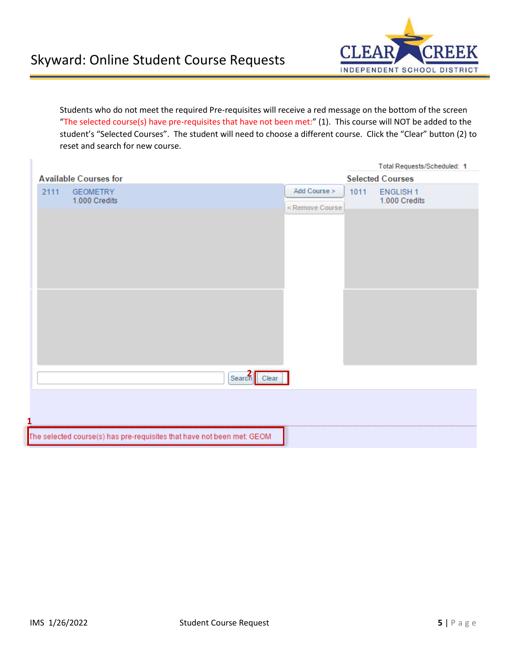

Students who do not meet the required Pre-requisites will receive a red message on the bottom of the screen "The selected course(s) have pre-requisites that have not been met:" (1). This course will NOT be added to the student's "Selected Courses". The student will need to choose a different course. Click the "Clear" button (2) to reset and search for new course.

|                                                                        |                                 |      | Total Requests/Scheduled: 1      |
|------------------------------------------------------------------------|---------------------------------|------|----------------------------------|
| <b>Available Courses for</b>                                           |                                 |      | <b>Selected Courses</b>          |
| 2111<br><b>GEOMETRY</b><br>1.000 Credits                               | Add Course ><br>< Remove Course | 1011 | <b>ENGLISH1</b><br>1.000 Credits |
|                                                                        |                                 |      |                                  |
|                                                                        |                                 |      |                                  |
|                                                                        |                                 |      |                                  |
|                                                                        |                                 |      |                                  |
|                                                                        |                                 |      |                                  |
|                                                                        |                                 |      |                                  |
| Search Clear                                                           |                                 |      |                                  |
|                                                                        |                                 |      |                                  |
|                                                                        |                                 |      |                                  |
| The selected course(s) has pre-requisites that have not been met: GEOM |                                 |      |                                  |